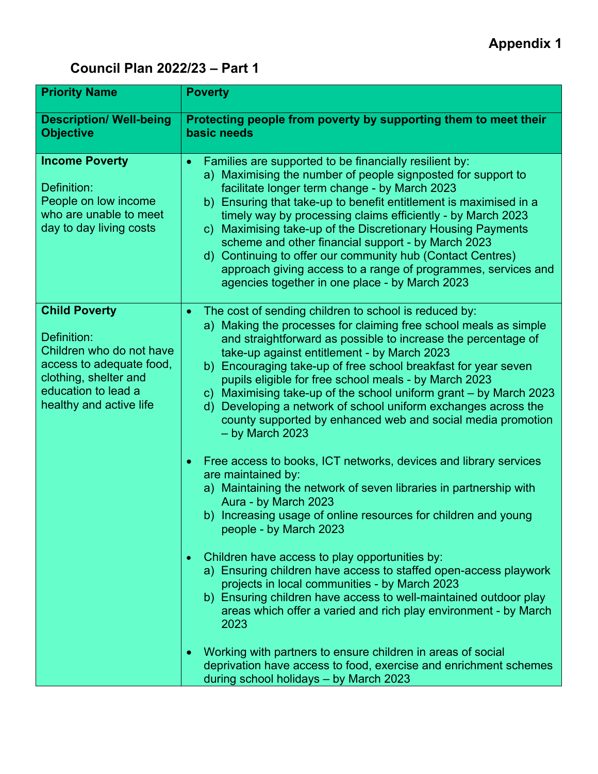## **Appendix 1**

## **Council Plan 2022/23 – Part 1**

| <b>Priority Name</b>                                                                                                                                                   | <b>Poverty</b>                                                                                                                                                                                                                                                                                                                                                                                                                                                                                                                                                                                                                                                                                 |
|------------------------------------------------------------------------------------------------------------------------------------------------------------------------|------------------------------------------------------------------------------------------------------------------------------------------------------------------------------------------------------------------------------------------------------------------------------------------------------------------------------------------------------------------------------------------------------------------------------------------------------------------------------------------------------------------------------------------------------------------------------------------------------------------------------------------------------------------------------------------------|
| <b>Description/ Well-being</b><br><b>Objective</b>                                                                                                                     | Protecting people from poverty by supporting them to meet their<br>basic needs                                                                                                                                                                                                                                                                                                                                                                                                                                                                                                                                                                                                                 |
| <b>Income Poverty</b><br>Definition:<br>People on low income<br>who are unable to meet<br>day to day living costs                                                      | Families are supported to be financially resilient by:<br>$\bullet$<br>a) Maximising the number of people signposted for support to<br>facilitate longer term change - by March 2023<br>b) Ensuring that take-up to benefit entitlement is maximised in a<br>timely way by processing claims efficiently - by March 2023<br>c) Maximising take-up of the Discretionary Housing Payments<br>scheme and other financial support - by March 2023<br>d) Continuing to offer our community hub (Contact Centres)<br>approach giving access to a range of programmes, services and<br>agencies together in one place - by March 2023                                                                 |
| <b>Child Poverty</b><br>Definition:<br>Children who do not have<br>access to adequate food,<br>clothing, shelter and<br>education to lead a<br>healthy and active life | The cost of sending children to school is reduced by:<br>a) Making the processes for claiming free school meals as simple<br>and straightforward as possible to increase the percentage of<br>take-up against entitlement - by March 2023<br>b) Encouraging take-up of free school breakfast for year seven<br>pupils eligible for free school meals - by March 2023<br>c) Maximising take-up of the school uniform grant - by March 2023<br>d) Developing a network of school uniform exchanges across the<br>county supported by enhanced web and social media promotion<br>$-$ by March 2023                                                                                                |
|                                                                                                                                                                        | Free access to books, ICT networks, devices and library services<br>$\bullet$<br>are maintained by:<br>a) Maintaining the network of seven libraries in partnership with<br>Aura - by March 2023<br>b) Increasing usage of online resources for children and young<br>people - by March 2023<br>Children have access to play opportunities by:<br>$\bullet$<br>a) Ensuring children have access to staffed open-access playwork<br>projects in local communities - by March 2023<br>b) Ensuring children have access to well-maintained outdoor play<br>areas which offer a varied and rich play environment - by March<br>2023<br>Working with partners to ensure children in areas of social |
|                                                                                                                                                                        | deprivation have access to food, exercise and enrichment schemes<br>during school holidays - by March 2023                                                                                                                                                                                                                                                                                                                                                                                                                                                                                                                                                                                     |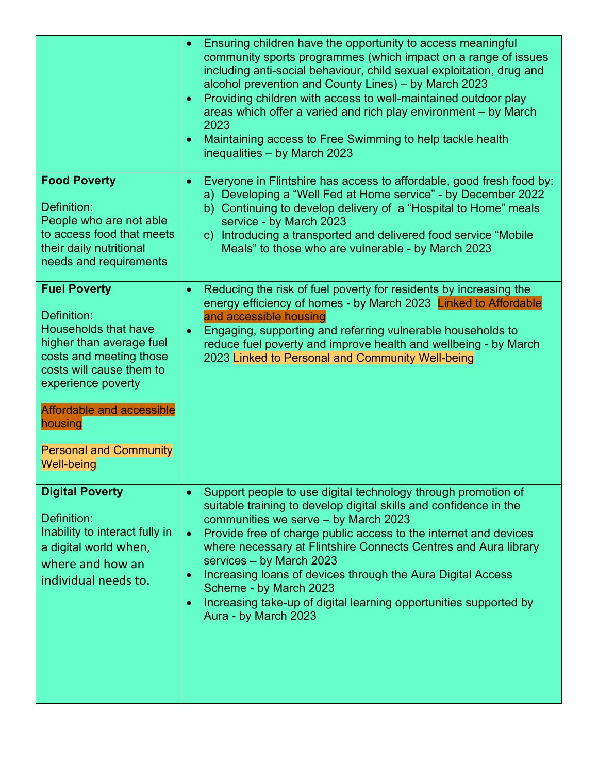|                                                                                                                                                                                                                                                                                 | Ensuring children have the opportunity to access meaningful<br>$\bullet$<br>community sports programmes (which impact on a range of issues<br>including anti-social behaviour, child sexual exploitation, drug and<br>alcohol prevention and County Lines) - by March 2023<br>Providing children with access to well-maintained outdoor play<br>$\bullet$<br>areas which offer a varied and rich play environment - by March<br>2023<br>Maintaining access to Free Swimming to help tackle health<br>$\bullet$<br>inequalities - by March 2023                                          |
|---------------------------------------------------------------------------------------------------------------------------------------------------------------------------------------------------------------------------------------------------------------------------------|-----------------------------------------------------------------------------------------------------------------------------------------------------------------------------------------------------------------------------------------------------------------------------------------------------------------------------------------------------------------------------------------------------------------------------------------------------------------------------------------------------------------------------------------------------------------------------------------|
| <b>Food Poverty</b><br>Definition:<br>People who are not able<br>to access food that meets<br>their daily nutritional<br>needs and requirements                                                                                                                                 | Everyone in Flintshire has access to affordable, good fresh food by:<br>$\bullet$<br>a) Developing a "Well Fed at Home service" - by December 2022<br>b) Continuing to develop delivery of a "Hospital to Home" meals<br>service - by March 2023<br>c) Introducing a transported and delivered food service "Mobile"<br>Meals" to those who are vulnerable - by March 2023                                                                                                                                                                                                              |
| <b>Fuel Poverty</b><br>Definition:<br><b>Households that have</b><br>higher than average fuel<br>costs and meeting those<br>costs will cause them to<br>experience poverty<br><b>Affordable and accessible</b><br>housing<br><b>Personal and Community</b><br><b>Well-being</b> | Reducing the risk of fuel poverty for residents by increasing the<br>$\bullet$<br>energy efficiency of homes - by March 2023 Linked to Affordable<br>and accessible housing<br>Engaging, supporting and referring vulnerable households to<br>$\bullet$<br>reduce fuel poverty and improve health and wellbeing - by March<br>2023 Linked to Personal and Community Well-being                                                                                                                                                                                                          |
| <b>Digital Poverty</b><br>Definition:<br>Inability to interact fully in<br>a digital world when,<br>where and how an<br>individual needs to.                                                                                                                                    | Support people to use digital technology through promotion of<br>$\bullet$<br>suitable training to develop digital skills and confidence in the<br>communities we serve - by March 2023<br>Provide free of charge public access to the internet and devices<br>$\bullet$<br>where necessary at Flintshire Connects Centres and Aura library<br>services - by March 2023<br>Increasing loans of devices through the Aura Digital Access<br>$\bullet$<br>Scheme - by March 2023<br>Increasing take-up of digital learning opportunities supported by<br>$\bullet$<br>Aura - by March 2023 |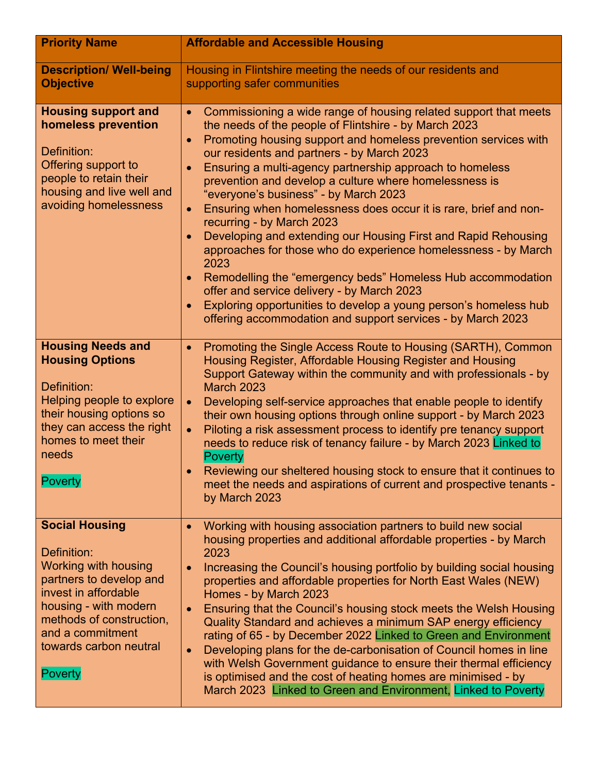| <b>Priority Name</b>                                                                                                                                                                                                                        | <b>Affordable and Accessible Housing</b>                                                                                                                                                                                                                                                                                                                                                                                                                                                                                                                                                                                                                                                                                                                                                                                                                                                                                                                                             |
|---------------------------------------------------------------------------------------------------------------------------------------------------------------------------------------------------------------------------------------------|--------------------------------------------------------------------------------------------------------------------------------------------------------------------------------------------------------------------------------------------------------------------------------------------------------------------------------------------------------------------------------------------------------------------------------------------------------------------------------------------------------------------------------------------------------------------------------------------------------------------------------------------------------------------------------------------------------------------------------------------------------------------------------------------------------------------------------------------------------------------------------------------------------------------------------------------------------------------------------------|
| <b>Description/ Well-being</b><br><b>Objective</b>                                                                                                                                                                                          | Housing in Flintshire meeting the needs of our residents and<br>supporting safer communities                                                                                                                                                                                                                                                                                                                                                                                                                                                                                                                                                                                                                                                                                                                                                                                                                                                                                         |
| <b>Housing support and</b><br>homeless prevention<br>Definition:<br>Offering support to<br>people to retain their<br>housing and live well and<br>avoiding homelessness                                                                     | Commissioning a wide range of housing related support that meets<br>$\bullet$<br>the needs of the people of Flintshire - by March 2023<br>Promoting housing support and homeless prevention services with<br>$\bullet$<br>our residents and partners - by March 2023<br>Ensuring a multi-agency partnership approach to homeless<br>$\bullet$<br>prevention and develop a culture where homelessness is<br>"everyone's business" - by March 2023<br>Ensuring when homelessness does occur it is rare, brief and non-<br>$\bullet$<br>recurring - by March 2023<br>Developing and extending our Housing First and Rapid Rehousing<br>$\bullet$<br>approaches for those who do experience homelessness - by March<br>2023<br>Remodelling the "emergency beds" Homeless Hub accommodation<br>offer and service delivery - by March 2023<br>Exploring opportunities to develop a young person's homeless hub<br>$\bullet$<br>offering accommodation and support services - by March 2023 |
| <b>Housing Needs and</b><br><b>Housing Options</b><br>Definition:<br>Helping people to explore<br>their housing options so<br>they can access the right<br>homes to meet their<br>needs<br><b>Poverty</b>                                   | Promoting the Single Access Route to Housing (SARTH), Common<br>$\bullet$<br>Housing Register, Affordable Housing Register and Housing<br>Support Gateway within the community and with professionals - by<br><b>March 2023</b><br>Developing self-service approaches that enable people to identify<br>$\bullet$<br>their own housing options through online support - by March 2023<br>Piloting a risk assessment process to identify pre tenancy support<br>$\bullet$<br>needs to reduce risk of tenancy failure - by March 2023 Linked to<br>Poverty<br>Reviewing our sheltered housing stock to ensure that it continues to<br>meet the needs and aspirations of current and prospective tenants -<br>by March 2023                                                                                                                                                                                                                                                             |
| <b>Social Housing</b><br>Definition:<br><b>Working with housing</b><br>partners to develop and<br>invest in affordable<br>housing - with modern<br>methods of construction,<br>and a commitment<br>towards carbon neutral<br><b>Poverty</b> | Working with housing association partners to build new social<br>housing properties and additional affordable properties - by March<br>2023<br>Increasing the Council's housing portfolio by building social housing<br>properties and affordable properties for North East Wales (NEW)<br>Homes - by March 2023<br>Ensuring that the Council's housing stock meets the Welsh Housing<br>Quality Standard and achieves a minimum SAP energy efficiency<br>rating of 65 - by December 2022 Linked to Green and Environment<br>Developing plans for the de-carbonisation of Council homes in line<br>$\bullet$<br>with Welsh Government guidance to ensure their thermal efficiency<br>is optimised and the cost of heating homes are minimised - by<br>March 2023 Linked to Green and Environment, Linked to Poverty                                                                                                                                                                  |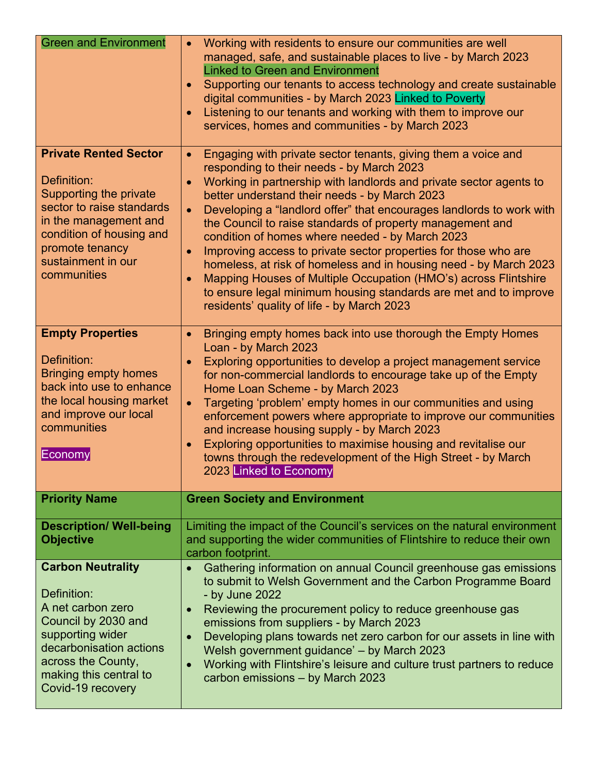| <b>Green and Environment</b>                                                                                                                                                                                    | Working with residents to ensure our communities are well<br>$\bullet$<br>managed, safe, and sustainable places to live - by March 2023<br><b>Linked to Green and Environment</b><br>Supporting our tenants to access technology and create sustainable<br>$\bullet$<br>digital communities - by March 2023 Linked to Poverty<br>Listening to our tenants and working with them to improve our<br>$\bullet$<br>services, homes and communities - by March 2023                                                                                                                                                                                                                                                                                                                                             |
|-----------------------------------------------------------------------------------------------------------------------------------------------------------------------------------------------------------------|------------------------------------------------------------------------------------------------------------------------------------------------------------------------------------------------------------------------------------------------------------------------------------------------------------------------------------------------------------------------------------------------------------------------------------------------------------------------------------------------------------------------------------------------------------------------------------------------------------------------------------------------------------------------------------------------------------------------------------------------------------------------------------------------------------|
| <b>Private Rented Sector</b><br>Definition:<br>Supporting the private<br>sector to raise standards<br>in the management and<br>condition of housing and<br>promote tenancy<br>sustainment in our<br>communities | Engaging with private sector tenants, giving them a voice and<br>$\bullet$<br>responding to their needs - by March 2023<br>Working in partnership with landlords and private sector agents to<br>better understand their needs - by March 2023<br>Developing a "landlord offer" that encourages landlords to work with<br>$\bullet$<br>the Council to raise standards of property management and<br>condition of homes where needed - by March 2023<br>Improving access to private sector properties for those who are<br>$\bullet$<br>homeless, at risk of homeless and in housing need - by March 2023<br>Mapping Houses of Multiple Occupation (HMO's) across Flintshire<br>$\bullet$<br>to ensure legal minimum housing standards are met and to improve<br>residents' quality of life - by March 2023 |
| <b>Empty Properties</b><br>Definition:<br><b>Bringing empty homes</b><br>back into use to enhance<br>the local housing market<br>and improve our local<br>communities<br>Economy                                | Bringing empty homes back into use thorough the Empty Homes<br>$\bullet$<br>Loan - by March 2023<br>Exploring opportunities to develop a project management service<br>$\bullet$<br>for non-commercial landlords to encourage take up of the Empty<br>Home Loan Scheme - by March 2023<br>Targeting 'problem' empty homes in our communities and using<br>$\bullet$<br>enforcement powers where appropriate to improve our communities<br>and increase housing supply - by March 2023<br>Exploring opportunities to maximise housing and revitalise our<br>$\bullet$<br>towns through the redevelopment of the High Street - by March<br>2023 Linked to Economy                                                                                                                                            |
| <b>Priority Name</b>                                                                                                                                                                                            | <b>Green Society and Environment</b>                                                                                                                                                                                                                                                                                                                                                                                                                                                                                                                                                                                                                                                                                                                                                                       |
| <b>Description/ Well-being</b><br><b>Objective</b>                                                                                                                                                              | Limiting the impact of the Council's services on the natural environment<br>and supporting the wider communities of Flintshire to reduce their own<br>carbon footprint.                                                                                                                                                                                                                                                                                                                                                                                                                                                                                                                                                                                                                                    |
| <b>Carbon Neutrality</b><br>Definition:<br>A net carbon zero<br>Council by 2030 and<br>supporting wider<br>decarbonisation actions<br>across the County,<br>making this central to<br>Covid-19 recovery         | Gathering information on annual Council greenhouse gas emissions<br>to submit to Welsh Government and the Carbon Programme Board<br>- by June 2022<br>Reviewing the procurement policy to reduce greenhouse gas<br>$\bullet$<br>emissions from suppliers - by March 2023<br>Developing plans towards net zero carbon for our assets in line with<br>Welsh government guidance' - by March 2023<br>Working with Flintshire's leisure and culture trust partners to reduce<br>$\bullet$<br>carbon emissions - by March 2023                                                                                                                                                                                                                                                                                  |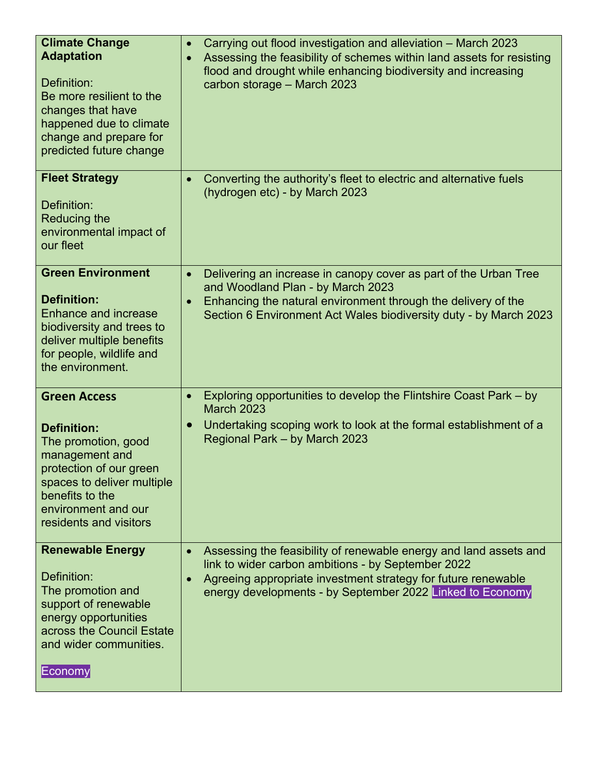| <b>Climate Change</b><br><b>Adaptation</b><br>Definition:<br>Be more resilient to the<br>changes that have<br>happened due to climate<br>change and prepare for<br>predicted future change                      | $\bullet$<br>$\bullet$ | Carrying out flood investigation and alleviation - March 2023<br>Assessing the feasibility of schemes within land assets for resisting<br>flood and drought while enhancing biodiversity and increasing<br>carbon storage - March 2023                |
|-----------------------------------------------------------------------------------------------------------------------------------------------------------------------------------------------------------------|------------------------|-------------------------------------------------------------------------------------------------------------------------------------------------------------------------------------------------------------------------------------------------------|
| <b>Fleet Strategy</b><br>Definition:<br><b>Reducing the</b><br>environmental impact of<br>our fleet                                                                                                             | $\bullet$              | Converting the authority's fleet to electric and alternative fuels<br>(hydrogen etc) - by March 2023                                                                                                                                                  |
| <b>Green Environment</b><br><b>Definition:</b><br><b>Enhance and increase</b><br>biodiversity and trees to<br>deliver multiple benefits<br>for people, wildlife and<br>the environment.                         | $\bullet$<br>$\bullet$ | Delivering an increase in canopy cover as part of the Urban Tree<br>and Woodland Plan - by March 2023<br>Enhancing the natural environment through the delivery of the<br>Section 6 Environment Act Wales biodiversity duty - by March 2023           |
| <b>Green Access</b><br><b>Definition:</b><br>The promotion, good<br>management and<br>protection of our green<br>spaces to deliver multiple<br>benefits to the<br>environment and our<br>residents and visitors | $\bullet$<br>$\bullet$ | Exploring opportunities to develop the Flintshire Coast Park – by<br><b>March 2023</b><br>Undertaking scoping work to look at the formal establishment of a<br>Regional Park - by March 2023                                                          |
| <b>Renewable Energy</b><br>Definition:<br>The promotion and<br>support of renewable<br>energy opportunities<br>across the Council Estate<br>and wider communities.<br>Economy                                   | $\bullet$<br>$\bullet$ | Assessing the feasibility of renewable energy and land assets and<br>link to wider carbon ambitions - by September 2022<br>Agreeing appropriate investment strategy for future renewable<br>energy developments - by September 2022 Linked to Economy |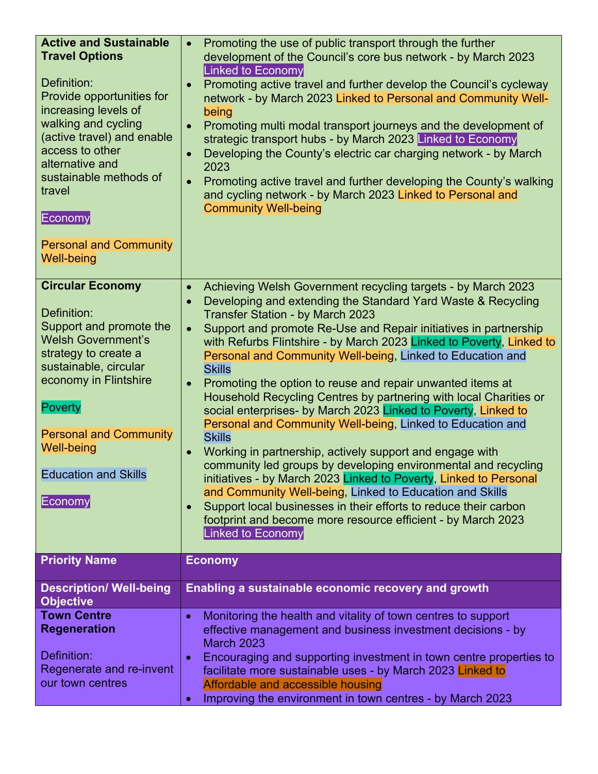| Promoting the use of public transport through the further<br>development of the Council's core bus network - by March 2023<br><b>Linked to Economy</b><br>Promoting active travel and further develop the Council's cycleway<br>network - by March 2023 Linked to Personal and Community Well-<br>being<br>Promoting multi modal transport journeys and the development of<br>strategic transport hubs - by March 2023 Linked to Economy<br>Developing the County's electric car charging network - by March<br>$\bullet$<br>2023<br>Promoting active travel and further developing the County's walking<br>$\bullet$<br>and cycling network - by March 2023 Linked to Personal and<br><b>Community Well-being</b>                                                                                                                                                                                                                                                                                                                                                                                                                                                                           |
|----------------------------------------------------------------------------------------------------------------------------------------------------------------------------------------------------------------------------------------------------------------------------------------------------------------------------------------------------------------------------------------------------------------------------------------------------------------------------------------------------------------------------------------------------------------------------------------------------------------------------------------------------------------------------------------------------------------------------------------------------------------------------------------------------------------------------------------------------------------------------------------------------------------------------------------------------------------------------------------------------------------------------------------------------------------------------------------------------------------------------------------------------------------------------------------------|
| Achieving Welsh Government recycling targets - by March 2023<br>$\bullet$<br>Developing and extending the Standard Yard Waste & Recycling<br>$\bullet$<br><b>Transfer Station - by March 2023</b><br>Support and promote Re-Use and Repair initiatives in partnership<br>$\bullet$<br>with Refurbs Flintshire - by March 2023 Linked to Poverty, Linked to<br>Personal and Community Well-being, Linked to Education and<br><b>Skills</b><br>Promoting the option to reuse and repair unwanted items at<br>$\bullet$<br>Household Recycling Centres by partnering with local Charities or<br>social enterprises- by March 2023 Linked to Poverty, Linked to<br>Personal and Community Well-being, Linked to Education and<br><b>Skills</b><br>Working in partnership, actively support and engage with<br>$\bullet$<br>community led groups by developing environmental and recycling<br>initiatives - by March 2023 Linked to Poverty, Linked to Personal<br>and Community Well-being, Linked to Education and Skills<br>Support local businesses in their efforts to reduce their carbon<br>$\bullet$<br>footprint and become more resource efficient - by March 2023<br>Linked to Economy |
| <b>Economy</b>                                                                                                                                                                                                                                                                                                                                                                                                                                                                                                                                                                                                                                                                                                                                                                                                                                                                                                                                                                                                                                                                                                                                                                               |
| Enabling a sustainable economic recovery and growth                                                                                                                                                                                                                                                                                                                                                                                                                                                                                                                                                                                                                                                                                                                                                                                                                                                                                                                                                                                                                                                                                                                                          |
| Monitoring the health and vitality of town centres to support<br>$\bullet$<br>effective management and business investment decisions - by<br><b>March 2023</b><br>Encouraging and supporting investment in town centre properties to<br>$\bullet$<br>facilitate more sustainable uses - by March 2023 Linked to<br>Affordable and accessible housing<br>Improving the environment in town centres - by March 2023<br>$\bullet$                                                                                                                                                                                                                                                                                                                                                                                                                                                                                                                                                                                                                                                                                                                                                               |
|                                                                                                                                                                                                                                                                                                                                                                                                                                                                                                                                                                                                                                                                                                                                                                                                                                                                                                                                                                                                                                                                                                                                                                                              |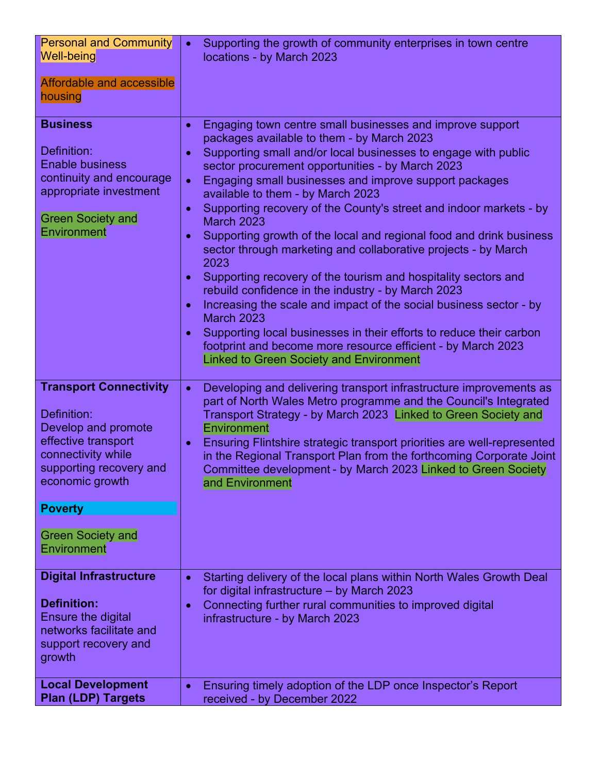| <b>Personal and Community</b><br><b>Well-being</b><br><b>Affordable and accessible</b>                                                                                                                                                                       | Supporting the growth of community enterprises in town centre<br>$\bullet$<br>locations - by March 2023                                                                                                                                                                                                                                                                                                                                                                                                                                                                                                                                                                                                                                                                                                                                                                                                                                                                                                                                                                         |
|--------------------------------------------------------------------------------------------------------------------------------------------------------------------------------------------------------------------------------------------------------------|---------------------------------------------------------------------------------------------------------------------------------------------------------------------------------------------------------------------------------------------------------------------------------------------------------------------------------------------------------------------------------------------------------------------------------------------------------------------------------------------------------------------------------------------------------------------------------------------------------------------------------------------------------------------------------------------------------------------------------------------------------------------------------------------------------------------------------------------------------------------------------------------------------------------------------------------------------------------------------------------------------------------------------------------------------------------------------|
| housing                                                                                                                                                                                                                                                      |                                                                                                                                                                                                                                                                                                                                                                                                                                                                                                                                                                                                                                                                                                                                                                                                                                                                                                                                                                                                                                                                                 |
| <b>Business</b><br>Definition:<br><b>Enable business</b><br>continuity and encourage<br>appropriate investment<br><b>Green Society and</b><br>Environment                                                                                                    | Engaging town centre small businesses and improve support<br>$\bullet$<br>packages available to them - by March 2023<br>Supporting small and/or local businesses to engage with public<br>$\bullet$<br>sector procurement opportunities - by March 2023<br>Engaging small businesses and improve support packages<br>$\bullet$<br>available to them - by March 2023<br>Supporting recovery of the County's street and indoor markets - by<br>$\bullet$<br><b>March 2023</b><br>Supporting growth of the local and regional food and drink business<br>$\bullet$<br>sector through marketing and collaborative projects - by March<br>2023<br>Supporting recovery of the tourism and hospitality sectors and<br>$\bullet$<br>rebuild confidence in the industry - by March 2023<br>Increasing the scale and impact of the social business sector - by<br>$\bullet$<br><b>March 2023</b><br>Supporting local businesses in their efforts to reduce their carbon<br>footprint and become more resource efficient - by March 2023<br><b>Linked to Green Society and Environment</b> |
| <b>Transport Connectivity</b><br>Definition:<br>Develop and promote<br>effective transport<br>connectivity while<br>supporting recovery and<br>economic growth<br><b>Poverty</b><br><b>Green Society and</b><br>Environment<br><b>Digital Infrastructure</b> | Developing and delivering transport infrastructure improvements as<br>$\bullet$<br>part of North Wales Metro programme and the Council's Integrated<br>Transport Strategy - by March 2023 Linked to Green Society and<br>Environment<br>Ensuring Flintshire strategic transport priorities are well-represented<br>$\bullet$<br>in the Regional Transport Plan from the forthcoming Corporate Joint<br>Committee development - by March 2023 Linked to Green Society<br>and Environment<br>Starting delivery of the local plans within North Wales Growth Deal<br>$\bullet$                                                                                                                                                                                                                                                                                                                                                                                                                                                                                                     |
| <b>Definition:</b><br>Ensure the digital<br>networks facilitate and<br>support recovery and<br>growth                                                                                                                                                        | for digital infrastructure - by March 2023<br>Connecting further rural communities to improved digital<br>$\bullet$<br>infrastructure - by March 2023                                                                                                                                                                                                                                                                                                                                                                                                                                                                                                                                                                                                                                                                                                                                                                                                                                                                                                                           |
| <b>Local Development</b><br><b>Plan (LDP) Targets</b>                                                                                                                                                                                                        | Ensuring timely adoption of the LDP once Inspector's Report<br>$\bullet$<br>received - by December 2022                                                                                                                                                                                                                                                                                                                                                                                                                                                                                                                                                                                                                                                                                                                                                                                                                                                                                                                                                                         |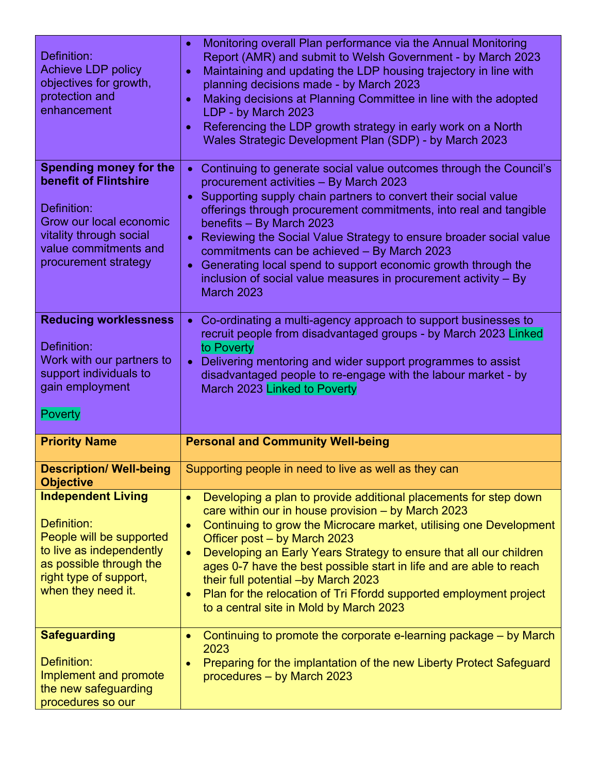| Definition:<br><b>Achieve LDP policy</b><br>objectives for growth,<br>protection and<br>enhancement                                                                          | Monitoring overall Plan performance via the Annual Monitoring<br>$\bullet$<br>Report (AMR) and submit to Welsh Government - by March 2023<br>Maintaining and updating the LDP housing trajectory in line with<br>$\bullet$<br>planning decisions made - by March 2023<br>Making decisions at Planning Committee in line with the adopted<br>$\bullet$<br>LDP - by March 2023<br>Referencing the LDP growth strategy in early work on a North<br>$\bullet$<br>Wales Strategic Development Plan (SDP) - by March 2023                                                                                               |
|------------------------------------------------------------------------------------------------------------------------------------------------------------------------------|-------------------------------------------------------------------------------------------------------------------------------------------------------------------------------------------------------------------------------------------------------------------------------------------------------------------------------------------------------------------------------------------------------------------------------------------------------------------------------------------------------------------------------------------------------------------------------------------------------------------|
| <b>Spending money for the</b><br>benefit of Flintshire<br>Definition:<br>Grow our local economic<br>vitality through social<br>value commitments and<br>procurement strategy | Continuing to generate social value outcomes through the Council's<br>$\bullet$<br>procurement activities - By March 2023<br>Supporting supply chain partners to convert their social value<br>$\bullet$<br>offerings through procurement commitments, into real and tangible<br>benefits - By March 2023<br>Reviewing the Social Value Strategy to ensure broader social value<br>$\bullet$<br>commitments can be achieved - By March 2023<br>Generating local spend to support economic growth through the<br>$\bullet$<br>inclusion of social value measures in procurement activity - By<br><b>March 2023</b> |
| <b>Reducing worklessness</b><br>Definition:<br>Work with our partners to<br>support individuals to<br>gain employment<br><b>Poverty</b>                                      | Co-ordinating a multi-agency approach to support businesses to<br>$\bullet$<br>recruit people from disadvantaged groups - by March 2023 Linked<br>to Poverty<br>Delivering mentoring and wider support programmes to assist<br>$\bullet$<br>disadvantaged people to re-engage with the labour market - by<br>March 2023 Linked to Poverty                                                                                                                                                                                                                                                                         |
| <b>Priority Name</b>                                                                                                                                                         | <b>Personal and Community Well-being</b>                                                                                                                                                                                                                                                                                                                                                                                                                                                                                                                                                                          |
| <b>Description/ Well-being</b><br><b>Objective</b>                                                                                                                           | Supporting people in need to live as well as they can                                                                                                                                                                                                                                                                                                                                                                                                                                                                                                                                                             |
| <b>Independent Living</b><br>Definition:<br>People will be supported<br>to live as independently<br>as possible through the<br>right type of support,<br>when they need it.  | Developing a plan to provide additional placements for step down<br>$\bullet$<br>care within our in house provision - by March 2023<br>Continuing to grow the Microcare market, utilising one Development<br>$\bullet$<br>Officer post – by March 2023<br>Developing an Early Years Strategy to ensure that all our children<br>$\bullet$<br>ages 0-7 have the best possible start in life and are able to reach<br>their full potential -by March 2023<br>Plan for the relocation of Tri Ffordd supported employment project<br>$\bullet$<br>to a central site in Mold by March 2023                             |
| <b>Safeguarding</b><br>Definition:<br>Implement and promote<br>the new safeguarding                                                                                          | Continuing to promote the corporate e-learning package – by March<br>$\bullet$<br>2023<br>Preparing for the implantation of the new Liberty Protect Safeguard<br>$\bullet$<br>procedures - by March 2023                                                                                                                                                                                                                                                                                                                                                                                                          |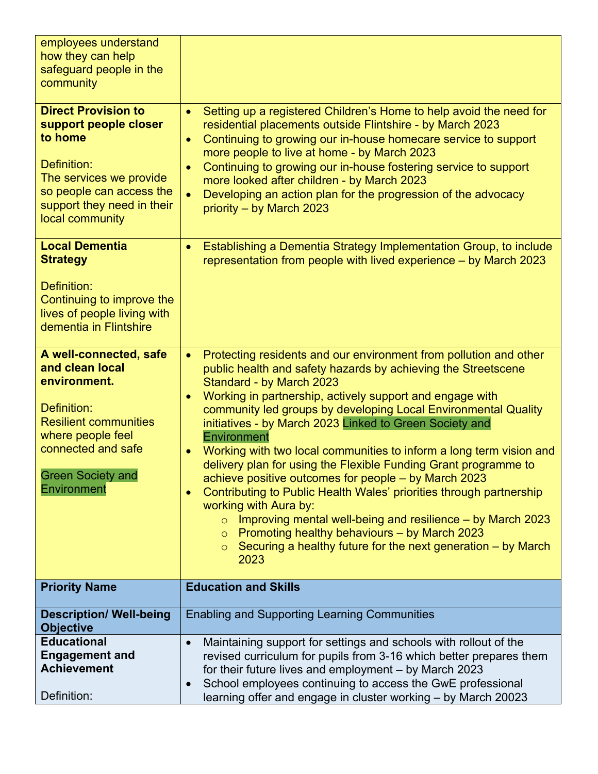| employees understand                                                                                     |                                                                                                                                                                                                                                                                                                                                                                                                          |
|----------------------------------------------------------------------------------------------------------|----------------------------------------------------------------------------------------------------------------------------------------------------------------------------------------------------------------------------------------------------------------------------------------------------------------------------------------------------------------------------------------------------------|
| how they can help                                                                                        |                                                                                                                                                                                                                                                                                                                                                                                                          |
| safeguard people in the                                                                                  |                                                                                                                                                                                                                                                                                                                                                                                                          |
| community                                                                                                |                                                                                                                                                                                                                                                                                                                                                                                                          |
| <b>Direct Provision to</b><br>support people closer<br>to home<br>Definition:<br>The services we provide | Setting up a registered Children's Home to help avoid the need for<br>$\bullet$<br>residential placements outside Flintshire - by March 2023<br>Continuing to growing our in-house homecare service to support<br>$\bullet$<br>more people to live at home - by March 2023<br>Continuing to growing our in-house fostering service to support<br>$\bullet$<br>more looked after children - by March 2023 |
| so people can access the<br>support they need in their<br>local community                                | Developing an action plan for the progression of the advocacy<br>priority - by March 2023                                                                                                                                                                                                                                                                                                                |
| <b>Local Dementia</b><br><b>Strategy</b>                                                                 | Establishing a Dementia Strategy Implementation Group, to include<br>representation from people with lived experience – by March 2023                                                                                                                                                                                                                                                                    |
| Definition:<br>Continuing to improve the<br>lives of people living with<br>dementia in Flintshire        |                                                                                                                                                                                                                                                                                                                                                                                                          |
| A well-connected, safe                                                                                   | Protecting residents and our environment from pollution and other<br>$\bullet$                                                                                                                                                                                                                                                                                                                           |
| and clean local                                                                                          | public health and safety hazards by achieving the Streetscene                                                                                                                                                                                                                                                                                                                                            |
| environment.                                                                                             | Standard - by March 2023                                                                                                                                                                                                                                                                                                                                                                                 |
| Definition:                                                                                              | Working in partnership, actively support and engage with<br>$\bullet$                                                                                                                                                                                                                                                                                                                                    |
| <b>Resilient communities</b>                                                                             | community led groups by developing Local Environmental Quality<br>initiatives - by March 2023 Linked to Green Society and                                                                                                                                                                                                                                                                                |
| where people feel                                                                                        | Environment                                                                                                                                                                                                                                                                                                                                                                                              |
| connected and safe                                                                                       | Working with two local communities to inform a long term vision and                                                                                                                                                                                                                                                                                                                                      |
|                                                                                                          | delivery plan for using the Flexible Funding Grant programme to                                                                                                                                                                                                                                                                                                                                          |
| <b>Green Society and</b>                                                                                 | achieve positive outcomes for people – by March 2023                                                                                                                                                                                                                                                                                                                                                     |
| <b>Environment</b>                                                                                       | Contributing to Public Health Wales' priorities through partnership<br>$\bullet$                                                                                                                                                                                                                                                                                                                         |
|                                                                                                          | working with Aura by:                                                                                                                                                                                                                                                                                                                                                                                    |
|                                                                                                          | Improving mental well-being and resilience – by March 2023<br>$\circ$<br>Promoting healthy behaviours - by March 2023                                                                                                                                                                                                                                                                                    |
|                                                                                                          | $\circ$<br>Securing a healthy future for the next generation $-$ by March<br>$\circ$                                                                                                                                                                                                                                                                                                                     |
|                                                                                                          | 2023                                                                                                                                                                                                                                                                                                                                                                                                     |
|                                                                                                          |                                                                                                                                                                                                                                                                                                                                                                                                          |
| <b>Priority Name</b>                                                                                     | <b>Education and Skills</b>                                                                                                                                                                                                                                                                                                                                                                              |
|                                                                                                          |                                                                                                                                                                                                                                                                                                                                                                                                          |
| <b>Description/ Well-being</b>                                                                           | <b>Enabling and Supporting Learning Communities</b>                                                                                                                                                                                                                                                                                                                                                      |
| <b>Objective</b>                                                                                         |                                                                                                                                                                                                                                                                                                                                                                                                          |
| <b>Educational</b>                                                                                       | Maintaining support for settings and schools with rollout of the<br>$\bullet$                                                                                                                                                                                                                                                                                                                            |
| <b>Engagement and</b>                                                                                    | revised curriculum for pupils from 3-16 which better prepares them                                                                                                                                                                                                                                                                                                                                       |
| <b>Achievement</b>                                                                                       | for their future lives and employment - by March 2023                                                                                                                                                                                                                                                                                                                                                    |
| Definition:                                                                                              | School employees continuing to access the GwE professional<br>$\bullet$<br>learning offer and engage in cluster working - by March 20023                                                                                                                                                                                                                                                                 |
|                                                                                                          |                                                                                                                                                                                                                                                                                                                                                                                                          |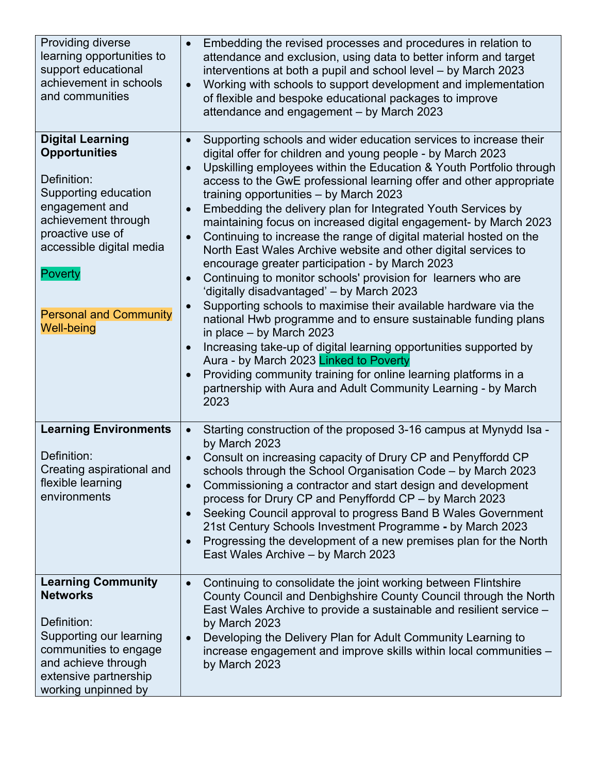| Providing diverse<br>learning opportunities to<br>support educational<br>achievement in schools<br>and communities                                                                                                                                      | Embedding the revised processes and procedures in relation to<br>attendance and exclusion, using data to better inform and target<br>interventions at both a pupil and school level - by March 2023<br>Working with schools to support development and implementation<br>$\bullet$<br>of flexible and bespoke educational packages to improve<br>attendance and engagement - by March 2023                                                                                                                                                                                                                                                                                                                                                                                                                                                                                                                                                                                                                                                                                                                                                                                                                                                                                        |
|---------------------------------------------------------------------------------------------------------------------------------------------------------------------------------------------------------------------------------------------------------|-----------------------------------------------------------------------------------------------------------------------------------------------------------------------------------------------------------------------------------------------------------------------------------------------------------------------------------------------------------------------------------------------------------------------------------------------------------------------------------------------------------------------------------------------------------------------------------------------------------------------------------------------------------------------------------------------------------------------------------------------------------------------------------------------------------------------------------------------------------------------------------------------------------------------------------------------------------------------------------------------------------------------------------------------------------------------------------------------------------------------------------------------------------------------------------------------------------------------------------------------------------------------------------|
| <b>Digital Learning</b><br><b>Opportunities</b><br>Definition:<br>Supporting education<br>engagement and<br>achievement through<br>proactive use of<br>accessible digital media<br><b>Poverty</b><br><b>Personal and Community</b><br><b>Well-being</b> | Supporting schools and wider education services to increase their<br>digital offer for children and young people - by March 2023<br>Upskilling employees within the Education & Youth Portfolio through<br>$\bullet$<br>access to the GwE professional learning offer and other appropriate<br>training opportunities - by March 2023<br>Embedding the delivery plan for Integrated Youth Services by<br>$\bullet$<br>maintaining focus on increased digital engagement- by March 2023<br>Continuing to increase the range of digital material hosted on the<br>$\bullet$<br>North East Wales Archive website and other digital services to<br>encourage greater participation - by March 2023<br>Continuing to monitor schools' provision for learners who are<br>$\bullet$<br>'digitally disadvantaged' - by March 2023<br>Supporting schools to maximise their available hardware via the<br>$\bullet$<br>national Hwb programme and to ensure sustainable funding plans<br>in place $-$ by March 2023<br>Increasing take-up of digital learning opportunities supported by<br>$\bullet$<br>Aura - by March 2023 Linked to Poverty<br>Providing community training for online learning platforms in a<br>partnership with Aura and Adult Community Learning - by March<br>2023 |
| <b>Learning Environments</b><br>Definition:<br>Creating aspirational and<br>flexible learning<br>environments                                                                                                                                           | Starting construction of the proposed 3-16 campus at Mynydd Isa -<br>$\bullet$<br>by March 2023<br>Consult on increasing capacity of Drury CP and Penyffordd CP<br>schools through the School Organisation Code - by March 2023<br>Commissioning a contractor and start design and development<br>process for Drury CP and Penyffordd CP - by March 2023<br>Seeking Council approval to progress Band B Wales Government<br>$\bullet$<br>21st Century Schools Investment Programme - by March 2023<br>Progressing the development of a new premises plan for the North<br>$\bullet$<br>East Wales Archive - by March 2023                                                                                                                                                                                                                                                                                                                                                                                                                                                                                                                                                                                                                                                         |
| <b>Learning Community</b><br><b>Networks</b><br>Definition:<br>Supporting our learning<br>communities to engage<br>and achieve through<br>extensive partnership<br>working unpinned by                                                                  | Continuing to consolidate the joint working between Flintshire<br>$\bullet$<br>County Council and Denbighshire County Council through the North<br>East Wales Archive to provide a sustainable and resilient service -<br>by March 2023<br>Developing the Delivery Plan for Adult Community Learning to<br>$\bullet$<br>increase engagement and improve skills within local communities -<br>by March 2023                                                                                                                                                                                                                                                                                                                                                                                                                                                                                                                                                                                                                                                                                                                                                                                                                                                                        |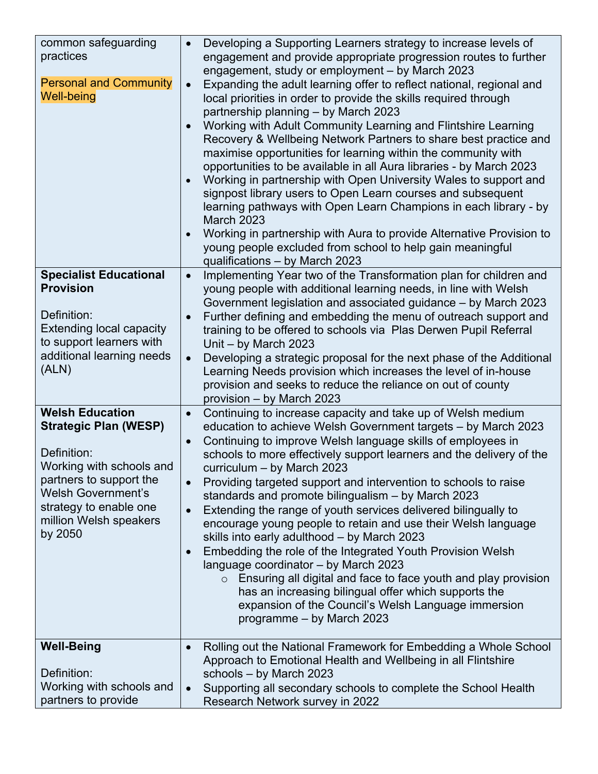| common safeguarding<br>practices<br><b>Personal and Community</b><br><b>Well-being</b>                                                                                                                                   | Developing a Supporting Learners strategy to increase levels of<br>$\bullet$<br>engagement and provide appropriate progression routes to further<br>engagement, study or employment - by March 2023<br>Expanding the adult learning offer to reflect national, regional and<br>$\bullet$<br>local priorities in order to provide the skills required through<br>partnership planning - by March 2023<br>Working with Adult Community Learning and Flintshire Learning<br>$\bullet$<br>Recovery & Wellbeing Network Partners to share best practice and<br>maximise opportunities for learning within the community with<br>opportunities to be available in all Aura libraries - by March 2023<br>Working in partnership with Open University Wales to support and<br>signpost library users to Open Learn courses and subsequent<br>learning pathways with Open Learn Champions in each library - by<br><b>March 2023</b><br>Working in partnership with Aura to provide Alternative Provision to<br>young people excluded from school to help gain meaningful<br>qualifications - by March 2023 |
|--------------------------------------------------------------------------------------------------------------------------------------------------------------------------------------------------------------------------|---------------------------------------------------------------------------------------------------------------------------------------------------------------------------------------------------------------------------------------------------------------------------------------------------------------------------------------------------------------------------------------------------------------------------------------------------------------------------------------------------------------------------------------------------------------------------------------------------------------------------------------------------------------------------------------------------------------------------------------------------------------------------------------------------------------------------------------------------------------------------------------------------------------------------------------------------------------------------------------------------------------------------------------------------------------------------------------------------|
| <b>Specialist Educational</b><br><b>Provision</b><br>Definition:<br><b>Extending local capacity</b><br>to support learners with<br>additional learning needs<br>(ALN)                                                    | Implementing Year two of the Transformation plan for children and<br>$\bullet$<br>young people with additional learning needs, in line with Welsh<br>Government legislation and associated guidance - by March 2023<br>Further defining and embedding the menu of outreach support and<br>$\bullet$<br>training to be offered to schools via Plas Derwen Pupil Referral<br>Unit - by March 2023<br>Developing a strategic proposal for the next phase of the Additional<br>$\bullet$<br>Learning Needs provision which increases the level of in-house<br>provision and seeks to reduce the reliance on out of county<br>provision – by March 2023                                                                                                                                                                                                                                                                                                                                                                                                                                                |
| <b>Welsh Education</b><br><b>Strategic Plan (WESP)</b><br>Definition:<br>Working with schools and<br>partners to support the<br><b>Welsh Government's</b><br>strategy to enable one<br>million Welsh speakers<br>by 2050 | Continuing to increase capacity and take up of Welsh medium<br>$\bullet$<br>education to achieve Welsh Government targets - by March 2023<br>Continuing to improve Welsh language skills of employees in<br>$\bullet$<br>schools to more effectively support learners and the delivery of the<br>curriculum - by March 2023<br>Providing targeted support and intervention to schools to raise<br>$\bullet$<br>standards and promote bilingualism - by March 2023<br>Extending the range of youth services delivered bilingually to<br>$\bullet$<br>encourage young people to retain and use their Welsh language<br>skills into early adulthood - by March 2023<br>Embedding the role of the Integrated Youth Provision Welsh<br>$\bullet$<br>language coordinator - by March 2023<br>$\circ$ Ensuring all digital and face to face youth and play provision<br>has an increasing bilingual offer which supports the<br>expansion of the Council's Welsh Language immersion<br>programme - by March 2023                                                                                         |
| <b>Well-Being</b><br>Definition:<br>Working with schools and<br>partners to provide                                                                                                                                      | Rolling out the National Framework for Embedding a Whole School<br>$\bullet$<br>Approach to Emotional Health and Wellbeing in all Flintshire<br>schools - by March 2023<br>Supporting all secondary schools to complete the School Health<br>$\bullet$<br>Research Network survey in 2022                                                                                                                                                                                                                                                                                                                                                                                                                                                                                                                                                                                                                                                                                                                                                                                                         |